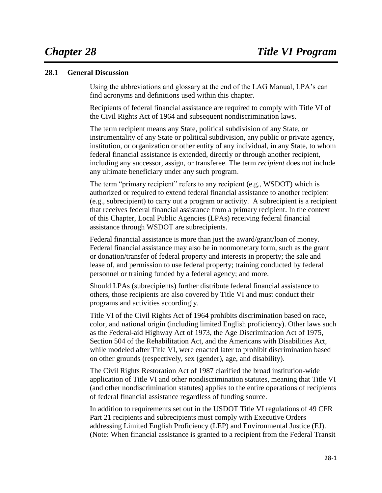## **28.1 General Discussion**

Using the abbreviations and glossary at the end of the LAG Manual, LPA's can find acronyms and definitions used within this chapter.

Recipients of federal financial assistance are required to comply with Title VI of the Civil Rights Act of 1964 and subsequent nondiscrimination laws.

The term recipient means any State, political subdivision of any State, or instrumentality of any State or political subdivision, any public or private agency, institution, or organization or other entity of any individual, in any State, to whom federal financial assistance is extended, directly or through another recipient, including any successor, assign, or transferee. The term *recipient* does not include any ultimate beneficiary under any such program.

The term "primary recipient" refers to any recipient (e.g., WSDOT) which is authorized or required to extend federal financial assistance to another recipient (e.g., subrecipient) to carry out a program or activity. A subrecipient is a recipient that receives federal financial assistance from a primary recipient. In the context of this Chapter, Local Public Agencies (LPAs) receiving federal financial assistance through WSDOT are subrecipients.

Federal financial assistance is more than just the award/grant/loan of money. Federal financial assistance may also be in nonmonetary form, such as the grant or donation/transfer of federal property and interests in property; the sale and lease of, and permission to use federal property; training conducted by federal personnel or training funded by a federal agency; and more.

Should LPAs (subrecipients) further distribute federal financial assistance to others, those recipients are also covered by Title VI and must conduct their programs and activities accordingly.

Title VI of the Civil Rights Act of 1964 prohibits discrimination based on race, color, and national origin (including limited English proficiency). Other laws such as the Federal-aid Highway Act of 1973, the Age Discrimination Act of 1975, Section 504 of the Rehabilitation Act, and the Americans with Disabilities Act, while modeled after Title VI, were enacted later to prohibit discrimination based on other grounds (respectively, sex (gender), age, and disability).

The Civil Rights Restoration Act of 1987 clarified the broad institution-wide application of Title VI and other nondiscrimination statutes, meaning that Title VI (and other nondiscrimination statutes) applies to the entire operations of recipients of federal financial assistance regardless of funding source.

In addition to requirements set out in the USDOT Title VI regulations of 49 CFR Part 21 recipients and subrecipients must comply with Executive Orders addressing Limited English Proficiency (LEP) and Environmental Justice (EJ). (Note: When financial assistance is granted to a recipient from the Federal Transit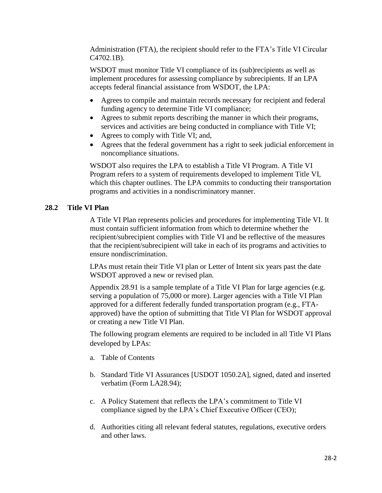Administration (FTA), the recipient should refer to the FTA's Title VI Circular C4702.1B).

WSDOT must monitor Title VI compliance of its (sub)recipients as well as implement procedures for assessing compliance by subrecipients. If an LPA accepts federal financial assistance from WSDOT, the LPA:

- Agrees to compile and maintain records necessary for recipient and federal funding agency to determine Title VI compliance;
- Agrees to submit reports describing the manner in which their programs, services and activities are being conducted in compliance with Title VI;
- Agrees to comply with Title VI; and,
- Agrees that the federal government has a right to seek judicial enforcement in noncompliance situations.

WSDOT also requires the LPA to establish a Title VI Program. A Title VI Program refers to a system of requirements developed to implement Title VI, which this chapter outlines. The LPA commits to conducting their transportation programs and activities in a nondiscriminatory manner.

#### **28.2 Title VI Plan**

A Title VI Plan represents policies and procedures for implementing Title VI. It must contain sufficient information from which to determine whether the recipient/subrecipient complies with Title VI and be reflective of the measures that the recipient/subrecipient will take in each of its programs and activities to ensure nondiscrimination.

LPAs must retain their Title VI plan or Letter of Intent six years past the date WSDOT approved a new or revised plan.

Appendix 28.91 is a sample template of a Title VI Plan for large agencies (e.g. serving a population of 75,000 or more). Larger agencies with a Title VI Plan approved for a different federally funded transportation program (e.g., FTAapproved) have the option of submitting that Title VI Plan for WSDOT approval or creating a new Title VI Plan.

The following program elements are required to be included in all Title VI Plans developed by LPAs:

- a. Table of Contents
- b. Standard Title VI Assurances [USDOT 1050.2A], signed, dated and inserted verbatim (Form LA28.94);
- c. A Policy Statement that reflects the LPA's commitment to Title VI compliance signed by the LPA's Chief Executive Officer (CEO);
- d. Authorities citing all relevant federal statutes, regulations, executive orders and other laws.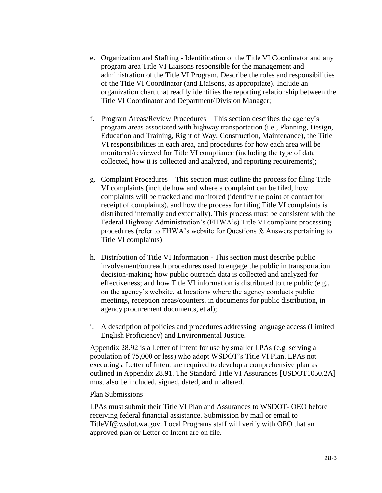- e. Organization and Staffing Identification of the Title VI Coordinator and any program area Title VI Liaisons responsible for the management and administration of the Title VI Program. Describe the roles and responsibilities of the Title VI Coordinator (and Liaisons, as appropriate). Include an organization chart that readily identifies the reporting relationship between the Title VI Coordinator and Department/Division Manager;
- f. Program Areas/Review Procedures This section describes the agency's program areas associated with highway transportation (i.e., Planning, Design, Education and Training, Right of Way, Construction, Maintenance), the Title VI responsibilities in each area, and procedures for how each area will be monitored/reviewed for Title VI compliance (including the type of data collected, how it is collected and analyzed, and reporting requirements);
- g. Complaint Procedures This section must outline the process for filing Title VI complaints (include how and where a complaint can be filed, how complaints will be tracked and monitored (identify the point of contact for receipt of complaints), and how the process for filing Title VI complaints is distributed internally and externally). This process must be consistent with the Federal Highway Administration's (FHWA's) Title VI complaint processing procedures (refer to FHWA's website for Questions & Answers pertaining to Title VI complaints)
- h. Distribution of Title VI Information This section must describe public involvement/outreach procedures used to engage the public in transportation decision-making; how public outreach data is collected and analyzed for effectiveness; and how Title VI information is distributed to the public (e.g., on the agency's website, at locations where the agency conducts public meetings, reception areas/counters, in documents for public distribution, in agency procurement documents, et al);
- i. A description of policies and procedures addressing language access (Limited English Proficiency) and Environmental Justice.

Appendix 28.92 is a Letter of Intent for use by smaller LPAs (e.g. serving a population of 75,000 or less) who adopt WSDOT's Title VI Plan. LPAs not executing a Letter of Intent are required to develop a comprehensive plan as outlined in Appendix 28.91. The Standard Title VI Assurances [USDOT1050.2A] must also be included, signed, dated, and unaltered.

#### Plan Submissions

LPAs must submit their Title VI Plan and Assurances to WSDOT- OEO before receiving federal financial assistance. Submission by mail or email to TitleVI@wsdot.wa.gov. Local Programs staff will verify with OEO that an approved plan or Letter of Intent are on file.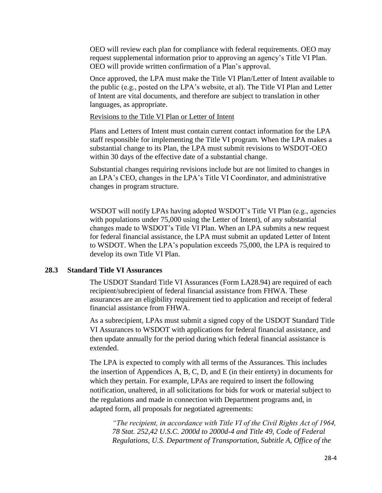OEO will review each plan for compliance with federal requirements. OEO may request supplemental information prior to approving an agency's Title VI Plan. OEO will provide written confirmation of a Plan's approval.

Once approved, the LPA must make the Title VI Plan/Letter of Intent available to the public (e.g., posted on the LPA's website, et al). The Title VI Plan and Letter of Intent are vital documents, and therefore are subject to translation in other languages, as appropriate.

Revisions to the Title VI Plan or Letter of Intent

Plans and Letters of Intent must contain current contact information for the LPA staff responsible for implementing the Title VI program. When the LPA makes a substantial change to its Plan, the LPA must submit revisions to WSDOT-OEO within 30 days of the effective date of a substantial change.

Substantial changes requiring revisions include but are not limited to changes in an LPA's CEO, changes in the LPA's Title VI Coordinator, and administrative changes in program structure.

WSDOT will notify LPAs having adopted WSDOT's Title VI Plan (e.g., agencies with populations under 75,000 using the Letter of Intent), of any substantial changes made to WSDOT's Title VI Plan. When an LPA submits a new request for federal financial assistance, the LPA must submit an updated Letter of Intent to WSDOT. When the LPA's population exceeds 75,000, the LPA is required to develop its own Title VI Plan.

### **28.3 Standard Title VI Assurances**

The USDOT Standard Title VI Assurances (Form LA28.94) are required of each recipient/subrecipient of federal financial assistance from FHWA. These assurances are an eligibility requirement tied to application and receipt of federal financial assistance from FHWA.

As a subrecipient, LPAs must submit a signed copy of the USDOT Standard Title VI Assurances to WSDOT with applications for federal financial assistance, and then update annually for the period during which federal financial assistance is extended.

The LPA is expected to comply with all terms of the Assurances. This includes the insertion of Appendices A, B, C, D, and E (in their entirety) in documents for which they pertain. For example, LPAs are required to insert the following notification, unaltered, in all solicitations for bids for work or material subject to the regulations and made in connection with Department programs and, in adapted form, all proposals for negotiated agreements:

*"The recipient, in accordance with Title VI of the Civil Rights Act of 1964, 78 Stat. 252,42 U.S.C. 2000d to 2000d-4 and Title 49, Code of Federal Regulations, U.S. Department of Transportation, Subtitle A, Office of the*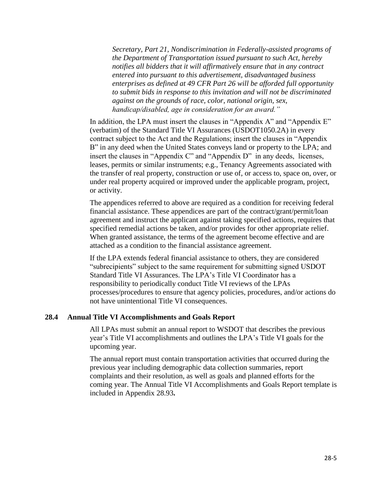*Secretary, Part 21, Nondiscrimination in Federally-assisted programs of the Department of Transportation issued pursuant to such Act, hereby notifies all bidders that it will affirmatively ensure that in any contract entered into pursuant to this advertisement, disadvantaged business enterprises as defined at 49 CFR Part 26 will be afforded full opportunity to submit bids in response to this invitation and will not be discriminated against on the grounds of race, color, national origin, sex, handicap/disabled, age in consideration for an award."*

In addition, the LPA must insert the clauses in "Appendix A" and "Appendix E" (verbatim) of the Standard Title VI Assurances (USDOT1050.2A) in every contract subject to the Act and the Regulations; insert the clauses in "Appendix B" in any deed when the United States conveys land or property to the LPA; and insert the clauses in "Appendix C" and "Appendix D" in any deeds, licenses, leases, permits or similar instruments; e.g., Tenancy Agreements associated with the transfer of real property, construction or use of, or access to, space on, over, or under real property acquired or improved under the applicable program, project, or activity.

The appendices referred to above are required as a condition for receiving federal financial assistance. These appendices are part of the contract/grant/permit/loan agreement and instruct the applicant against taking specified actions, requires that specified remedial actions be taken, and/or provides for other appropriate relief. When granted assistance, the terms of the agreement become effective and are attached as a condition to the financial assistance agreement.

If the LPA extends federal financial assistance to others, they are considered "subrecipients" subject to the same requirement for submitting signed USDOT Standard Title VI Assurances. The LPA's Title VI Coordinator has a responsibility to periodically conduct Title VI reviews of the LPAs processes/procedures to ensure that agency policies, procedures, and/or actions do not have unintentional Title VI consequences.

#### **28.4 Annual Title VI Accomplishments and Goals Report**

All LPAs must submit an annual report to WSDOT that describes the previous year's Title VI accomplishments and outlines the LPA's Title VI goals for the upcoming year.

The annual report must contain transportation activities that occurred during the previous year including demographic data collection summaries, report complaints and their resolution, as well as goals and planned efforts for the coming year. The Annual Title VI Accomplishments and Goals Report template is included in Appendix 28.93**.**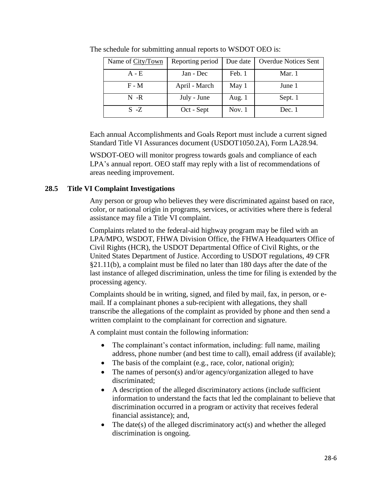| Name of City/Town | Reporting period | Due date | <b>Overdue Notices Sent</b> |
|-------------------|------------------|----------|-----------------------------|
| $A - E$           | Jan - Dec        | Feb. 1   | Mar. 1                      |
| $F - M$           | April - March    | May 1    | June 1                      |
| $N - R$           | July - June      | Aug. 1   | Sept. 1                     |
| $S - Z$           | Oct - Sept       | Nov. $1$ | Dec. 1                      |

The schedule for submitting annual reports to WSDOT OEO is:

Each annual Accomplishments and Goals Report must include a current signed Standard Title VI Assurances document (USDOT1050.2A), Form LA28.94.

WSDOT-OEO will monitor progress towards goals and compliance of each LPA's annual report. OEO staff may reply with a list of recommendations of areas needing improvement.

# **28.5 Title VI Complaint Investigations**

Any person or group who believes they were discriminated against based on race, color, or national origin in programs, services, or activities where there is federal assistance may file a Title VI complaint.

Complaints related to the federal-aid highway program may be filed with an LPA/MPO, WSDOT, FHWA Division Office, the FHWA Headquarters Office of Civil Rights (HCR), the USDOT Departmental Office of Civil Rights, or the United States Department of Justice. According to USDOT regulations, 49 CFR §21.11(b), a complaint must be filed no later than 180 days after the date of the last instance of alleged discrimination, unless the time for filing is extended by the processing agency.

Complaints should be in writing, signed, and filed by mail, fax, in person, or email. If a complainant phones a sub-recipient with allegations, they shall transcribe the allegations of the complaint as provided by phone and then send a written complaint to the complainant for correction and signature.

A complaint must contain the following information:

- The complainant's contact information, including: full name, mailing address, phone number (and best time to call), email address (if available);
- The basis of the complaint (e.g., race, color, national origin);
- The names of person(s) and/or agency/organization alleged to have discriminated;
- A description of the alleged discriminatory actions (include sufficient information to understand the facts that led the complainant to believe that discrimination occurred in a program or activity that receives federal financial assistance); and,
- The date(s) of the alleged discriminatory  $act(s)$  and whether the alleged discrimination is ongoing.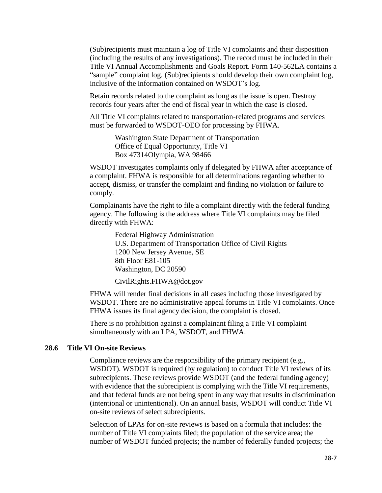(Sub)recipients must maintain a log of Title VI complaints and their disposition (including the results of any investigations). The record must be included in their Title VI Annual Accomplishments and Goals Report. Form 140-562LA contains a "sample" complaint log. (Sub)recipients should develop their own complaint log, inclusive of the information contained on WSDOT's log.

Retain records related to the complaint as long as the issue is open. Destroy records four years after the end of fiscal year in which the case is closed.

All Title VI complaints related to transportation-related programs and services must be forwarded to WSDOT-OEO for processing by FHWA.

> Washington State Department of Transportation Office of Equal Opportunity, Title VI Box 47314Olympia, WA 98466

WSDOT investigates complaints only if delegated by FHWA after acceptance of a complaint. FHWA is responsible for all determinations regarding whether to accept, dismiss, or transfer the complaint and finding no violation or failure to comply.

Complainants have the right to file a complaint directly with the federal funding agency. The following is the address where Title VI complaints may be filed directly with FHWA:

> Federal Highway Administration U.S. Department of Transportation Office of Civil Rights 1200 New Jersey Avenue, SE 8th Floor E81-105 Washington, DC 20590

CivilRights.FHWA@dot.gov

FHWA will render final decisions in all cases including those investigated by WSDOT. There are no administrative appeal forums in Title VI complaints. Once FHWA issues its final agency decision, the complaint is closed.

There is no prohibition against a complainant filing a Title VI complaint simultaneously with an LPA, WSDOT, and FHWA.

#### **28.6 Title VI On-site Reviews**

Compliance reviews are the responsibility of the primary recipient (e.g., WSDOT). WSDOT is required (by regulation) to conduct Title VI reviews of its subrecipients. These reviews provide WSDOT (and the federal funding agency) with evidence that the subrecipient is complying with the Title VI requirements, and that federal funds are not being spent in any way that results in discrimination (intentional or unintentional). On an annual basis, WSDOT will conduct Title VI on-site reviews of select subrecipients.

Selection of LPAs for on-site reviews is based on a formula that includes: the number of Title VI complaints filed; the population of the service area; the number of WSDOT funded projects; the number of federally funded projects; the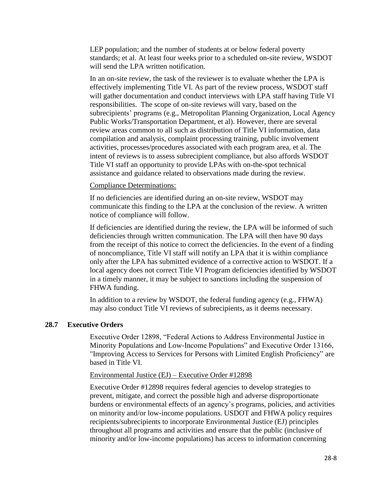LEP population; and the number of students at or below federal poverty standards; et al. At least four weeks prior to a scheduled on-site review, WSDOT will send the LPA written notification.

In an on-site review, the task of the reviewer is to evaluate whether the LPA is effectively implementing Title VI. As part of the review process, WSDOT staff will gather documentation and conduct interviews with LPA staff having Title VI responsibilities. The scope of on-site reviews will vary, based on the subrecipients' programs (e.g., Metropolitan Planning Organization, Local Agency Public Works/Transportation Department, et al). However, there are several review areas common to all such as distribution of Title VI information, data compilation and analysis, complaint processing training, public involvement activities, processes/procedures associated with each program area, et al. The intent of reviews is to assess subrecipient compliance, but also affords WSDOT Title VI staff an opportunity to provide LPAs with on-the-spot technical assistance and guidance related to observations made during the review.

#### Compliance Determinations:

If no deficiencies are identified during an on-site review, WSDOT may communicate this finding to the LPA at the conclusion of the review. A written notice of compliance will follow.

If deficiencies are identified during the review, the LPA will be informed of such deficiencies through written communication. The LPA will then have 90 days from the receipt of this notice to correct the deficiencies. In the event of a finding of noncompliance, Title VI staff will notify an LPA that it is within compliance only after the LPA has submitted evidence of a corrective action to WSDOT. If a local agency does not correct Title VI Program deficiencies identified by WSDOT in a timely manner, it may be subject to sanctions including the suspension of FHWA funding.

In addition to a review by WSDOT, the federal funding agency (e.g., FHWA) may also conduct Title VI reviews of subrecipients, as it deems necessary.

#### **28.7 Executive Orders**

Executive Order 12898, "Federal Actions to Address Environmental Justice in Minority Populations and Low-Income Populations" and Executive Order 13166, "Improving Access to Services for Persons with Limited English Proficiency" are based in Title VI.

#### Environmental Justice (EJ) – Executive Order #12898

Executive Order #12898 requires federal agencies to develop strategies to prevent, mitigate, and correct the possible high and adverse disproportionate burdens or environmental effects of an agency's programs, policies, and activities on minority and/or low-income populations. USDOT and FHWA policy requires recipients/subrecipients to incorporate Environmental Justice (EJ) principles throughout all programs and activities and ensure that the public (inclusive of minority and/or low-income populations) has access to information concerning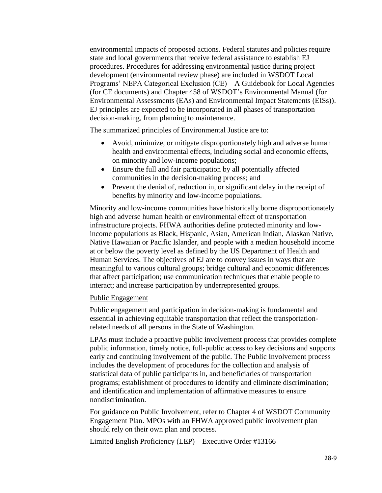environmental impacts of proposed actions. Federal statutes and policies require state and local governments that receive federal assistance to establish EJ procedures. Procedures for addressing environmental justice during project development (environmental review phase) are included in WSDOT Local Programs' NEPA Categorical Exclusion (CE) – A Guidebook for Local Agencies (for CE documents) and Chapter 458 of WSDOT's Environmental Manual (for Environmental Assessments (EAs) and Environmental Impact Statements (EISs)). EJ principles are expected to be incorporated in all phases of transportation decision-making, from planning to maintenance.

The summarized principles of Environmental Justice are to:

- Avoid, minimize, or mitigate disproportionately high and adverse human health and environmental effects, including social and economic effects, on minority and low-income populations;
- Ensure the full and fair participation by all potentially affected communities in the decision-making process; and
- Prevent the denial of, reduction in, or significant delay in the receipt of benefits by minority and low-income populations.

Minority and low-income communities have historically borne disproportionately high and adverse human health or environmental effect of transportation infrastructure projects. FHWA authorities define protected minority and lowincome populations as Black, Hispanic, Asian, American Indian, Alaskan Native, Native Hawaiian or Pacific Islander, and people with a median household income at or below the poverty level as defined by the US Department of Health and Human Services. The objectives of EJ are to convey issues in ways that are meaningful to various cultural groups; bridge cultural and economic differences that affect participation; use communication techniques that enable people to interact; and increase participation by underrepresented groups.

## Public Engagement

Public engagement and participation in decision-making is fundamental and essential in achieving equitable transportation that reflect the transportationrelated needs of all persons in the State of Washington.

LPAs must include a proactive public involvement process that provides complete public information, timely notice, full-public access to key decisions and supports early and continuing involvement of the public. The Public Involvement process includes the development of procedures for the collection and analysis of statistical data of public participants in, and beneficiaries of transportation programs; establishment of procedures to identify and eliminate discrimination; and identification and implementation of affirmative measures to ensure nondiscrimination.

For guidance on Public Involvement, refer to Chapter 4 of WSDOT Community Engagement Plan. MPOs with an FHWA approved public involvement plan should rely on their own plan and process.

Limited English Proficiency (LEP) – Executive Order #13166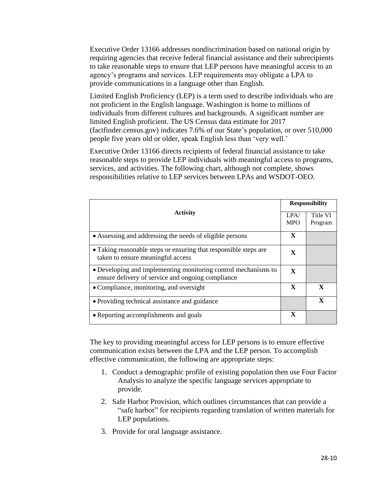Executive Order 13166 addresses nondiscrimination based on national origin by requiring agencies that receive federal financial assistance and their subrecipients to take reasonable steps to ensure that LEP persons have meaningful access to an agency's programs and services. LEP requirements may obligate a LPA to provide communications in a language other than English.

Limited English Proficiency (LEP) is a term used to describe individuals who are not proficient in the English language. Washington is home to millions of individuals from different cultures and backgrounds. A significant number are limited English proficient. The US Census data estimate for 2017 (factfinder.census.gov) indicates 7.6% of our State's population, or over 510,000 people five years old or older, speak English less than 'very well.'

Executive Order 13166 directs recipients of federal financial assistance to take reasonable steps to provide LEP individuals with meaningful access to programs, services, and activities. The following chart, although not complete, shows responsibilities relative to LEP services between LPAs and WSDOT-OEO.

| <b>Activity</b>                                                                                                     |   | <b>Responsibility</b> |  |
|---------------------------------------------------------------------------------------------------------------------|---|-----------------------|--|
|                                                                                                                     |   | Title VI              |  |
|                                                                                                                     |   | Program               |  |
| • Assessing and addressing the needs of eligible persons                                                            | X |                       |  |
| • Taking reasonable steps or ensuring that responsible steps are<br>taken to ensure meaningful access               | X |                       |  |
| • Developing and implementing monitoring control mechanisms to<br>ensure delivery of service and ongoing compliance | X |                       |  |
| • Compliance, monitoring, and oversight                                                                             |   | X                     |  |
| • Providing technical assistance and guidance                                                                       |   | $\mathbf{X}$          |  |
| • Reporting accomplishments and goals                                                                               |   |                       |  |

The key to providing meaningful access for LEP persons is to ensure effective communication exists between the LPA and the LEP person. To accomplish effective communication, the following are appropriate steps:

- 1. Conduct a demographic profile of existing population then use Four Factor Analysis to analyze the specific language services appropriate to provide.
- 2. Safe Harbor Provision, which outlines circumstances that can provide a "safe harbor" for recipients regarding translation of written materials for LEP populations.
- 3. Provide for oral language assistance.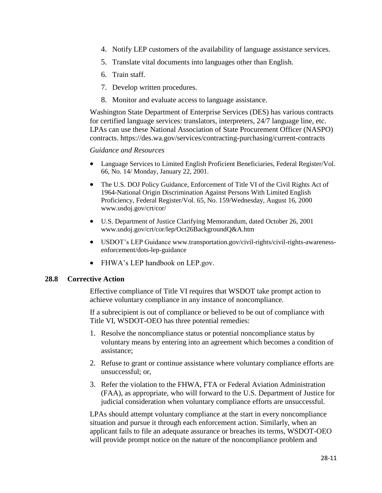- 4. Notify LEP customers of the availability of language assistance services.
- 5. Translate vital documents into languages other than English.
- 6. Train staff.
- 7. Develop written procedures.
- 8. Monitor and evaluate access to language assistance.

Washington State Department of Enterprise Services (DES) has various contracts for certified language services: translators, interpreters, 24/7 language line, etc. LPAs can use these National Association of State Procurement Officer (NASPO) contracts. https://des.wa.gov/services/contracting-purchasing/current-contracts

## *Guidance and Resources*

- Language Services to Limited English Proficient Beneficiaries, Federal Register/Vol. 66, No. 14/ Monday, January 22, 2001.
- The U.S. DOJ Policy Guidance, Enforcement of Title VI of the Civil Rights Act of 1964-National Origin Discrimination Against Persons With Limited English Proficiency, Federal Register/Vol. 65, No. 159/Wednesday, August 16, 2000 www.usdoj.gov/crt/cor/
- U.S. Department of Justice Clarifying Memorandum, dated October 26, 2001 www.usdoj.gov/crt/cor/lep/Oct26BackgroundQ&A.htm
- USDOT's LEP Guidance www.transportation.gov/civil-rights/civil-rights-awarenessenforcement/dots-lep-guidance
- FHWA's LEP handbook on LEP.gov.

#### **28.8 Corrective Action**

Effective compliance of Title VI requires that WSDOT take prompt action to achieve voluntary compliance in any instance of noncompliance.

If a subrecipient is out of compliance or believed to be out of compliance with Title VI, WSDOT-OEO has three potential remedies:

- 1. Resolve the noncompliance status or potential noncompliance status by voluntary means by entering into an agreement which becomes a condition of assistance;
- 2. Refuse to grant or continue assistance where voluntary compliance efforts are unsuccessful; or,
- 3. Refer the violation to the FHWA, FTA or Federal Aviation Administration (FAA), as appropriate, who will forward to the U.S. Department of Justice for judicial consideration when voluntary compliance efforts are unsuccessful.

LPAs should attempt voluntary compliance at the start in every noncompliance situation and pursue it through each enforcement action. Similarly, when an applicant fails to file an adequate assurance or breaches its terms, WSDOT-OEO will provide prompt notice on the nature of the noncompliance problem and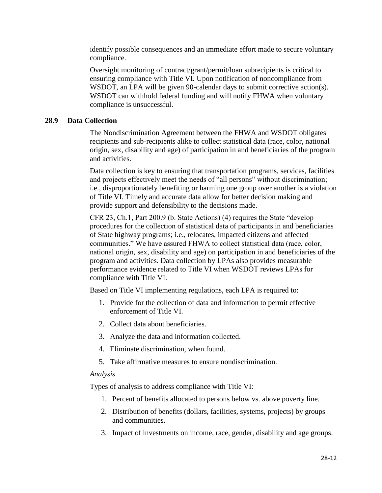identify possible consequences and an immediate effort made to secure voluntary compliance.

Oversight monitoring of contract/grant/permit/loan subrecipients is critical to ensuring compliance with Title VI. Upon notification of noncompliance from WSDOT, an LPA will be given 90-calendar days to submit corrective action(s). WSDOT can withhold federal funding and will notify FHWA when voluntary compliance is unsuccessful.

# **28.9 Data Collection**

The Nondiscrimination Agreement between the FHWA and WSDOT obligates recipients and sub-recipients alike to collect statistical data (race, color, national origin, sex, disability and age) of participation in and beneficiaries of the program and activities.

Data collection is key to ensuring that transportation programs, services, facilities and projects effectively meet the needs of "all persons" without discrimination; i.e., disproportionately benefiting or harming one group over another is a violation of Title VI. Timely and accurate data allow for better decision making and provide support and defensibility to the decisions made.

CFR 23, Ch.1, Part 200.9 (b. State Actions) (4) requires the State "develop procedures for the collection of statistical data of participants in and beneficiaries of State highway programs; i.e., relocates, impacted citizens and affected communities." We have assured FHWA to collect statistical data (race, color, national origin, sex, disability and age) on participation in and beneficiaries of the program and activities. Data collection by LPAs also provides measurable performance evidence related to Title VI when WSDOT reviews LPAs for compliance with Title VI.

Based on Title VI implementing regulations, each LPA is required to:

- 1. Provide for the collection of data and information to permit effective enforcement of Title VI.
- 2. Collect data about beneficiaries.
- 3. Analyze the data and information collected.
- 4. Eliminate discrimination, when found.
- 5. Take affirmative measures to ensure nondiscrimination.

## *Analysis*

Types of analysis to address compliance with Title VI:

- 1. Percent of benefits allocated to persons below vs. above poverty line.
- 2. Distribution of benefits (dollars, facilities, systems, projects) by groups and communities.
- 3. Impact of investments on income, race, gender, disability and age groups.